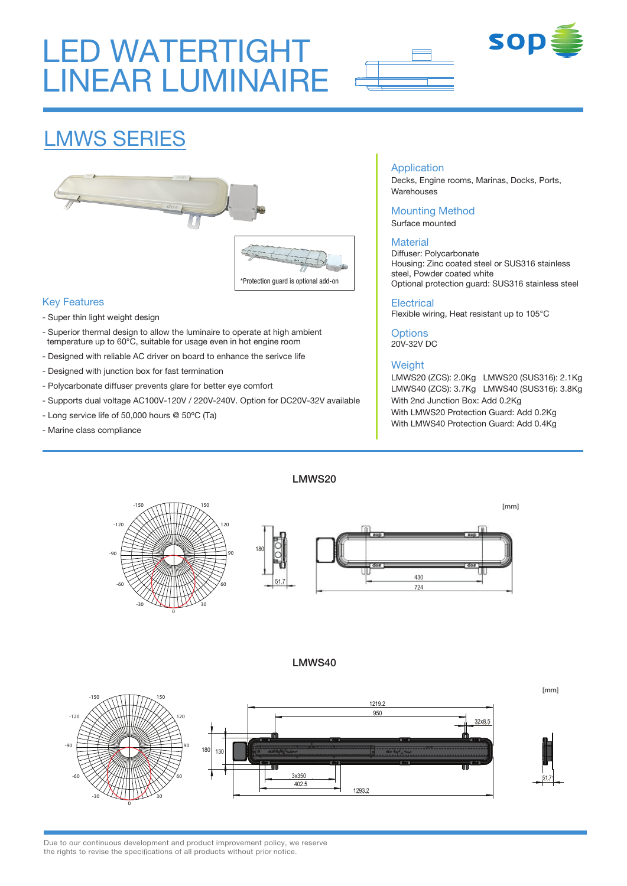# LED WATERTIGHT LINEAR LUMINAIRE





## LMWS SERIES



#### Key Features

- Super thin light weight design
- Superior thermal design to allow the luminaire to operate at high ambient temperature up to 60°C, suitable for usage even in hot engine room
- Designed with reliable AC driver on board to enhance the serivce life
- Designed with junction box for fast termination
- Polycarbonate diffuser prevents glare for better eye comfort
- Supports dual voltage AC100V-120V / 220V-240V. Option for DC20V-32V available
- Long service life of 50,000 hours @ 50ºC (Ta)
- Marine class compliance

#### Application

Decks, Engine rooms, Marinas, Docks, Ports, Warehouses

#### Mounting Method

Surface mounted

#### **Material**

Diffuser: Polycarbonate Housing: Zinc coated steel or SUS316 stainless steel, Powder coated white Optional protection guard: SUS316 stainless steel

#### **Electrical**

Flexible wiring, Heat resistant up to 105°C

**Options** 20V-32V DC

#### **Weight**

LMWS20 (ZCS): 2.0Kg LMWS20 (SUS316): 2.1Kg LMWS40 (ZCS): 3.7Kg LMWS40 (SUS316): 3.8Kg With 2nd Junction Box: Add 0.2Kg With LMWS20 Protection Guard: Add 0.2Kg With LMWS40 Protection Guard: Add 0.4Kg



LMWS20

#### I MWS40

 $[mm]$ **-150 150** 1219.2 950 **-120 120** 32x8.5 **-90 90** 180 130 3x350 **-60 60** 51.7 402.5 1293.2 **-30 30**

Due to our continuous development and product improvement policy, we reserve the rights to revise the specifications of all products without prior notice.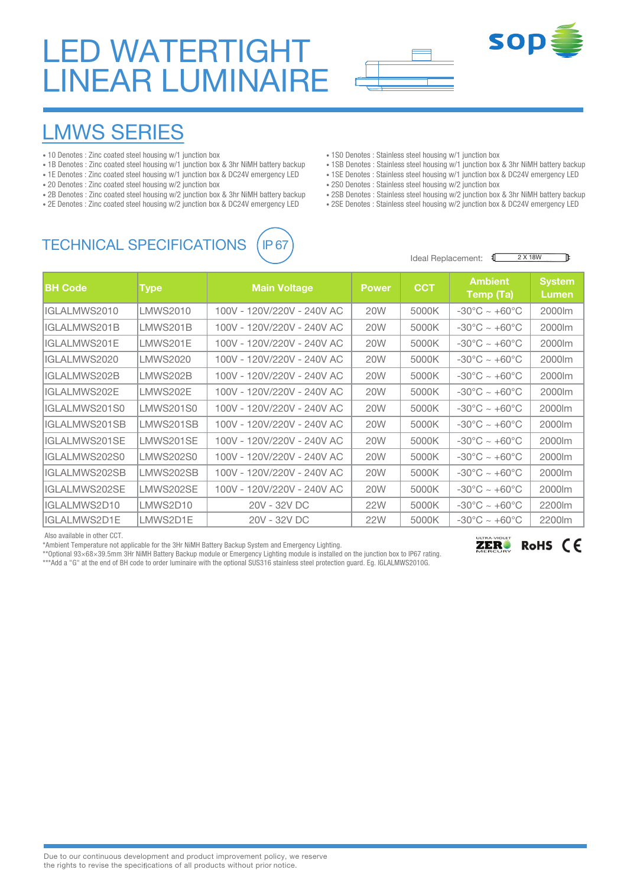# LED WATERTIGHT LINEAR LUMINAIRE



## LMWS SERIES

- 10 Denotes : Zinc coated steel housing w/1 junction box
- 1B Denotes : Zinc coated steel housing w/1 junction box & 3hr NiMH battery backup
- 1E Denotes : Zinc coated steel housing w/1 junction box & DC24V emergency LED
- 20 Denotes : Zinc coated steel housing w/2 junction box
- 2B Denotes : Zinc coated steel housing w/2 junction box & 3hr NiMH battery backup
- 2E Denotes : Zinc coated steel housing w/2 junction box & DC24V emergency LED

### TECHNICAL SPECIFICATIONS (IP 67



- 1S0 Denotes : Stainless steel housing w/1 junction box
- 1SB Denotes : Stainless steel housing w/1 junction box & 3hr NiMH battery backup
- 1SE Denotes : Stainless steel housing w/1 junction box & DC24V emergency LED
- 2S0 Denotes : Stainless steel housing w/2 junction box
- 2SB Denotes : Stainless steel housing w/2 junction box & 3hr NiMH battery backup
- 2SE Denotes : Stainless steel housing w/2 junction box & DC24V emergency LED



飞

**SOD** 

| <b>BH Code</b> | <b>Type</b> | <b>Main Voltage</b>        | <b>Power</b> | <b>CCT</b> | <b>Ambient</b><br>Temp (Ta)       | <b>System</b><br>Lumen |
|----------------|-------------|----------------------------|--------------|------------|-----------------------------------|------------------------|
| IGLALMWS2010   | LMWS2010    | 100V - 120V/220V - 240V AC | <b>20W</b>   | 5000K      | $-30^{\circ}$ C ~ $+60^{\circ}$ C | 2000lm                 |
| IGLALMWS201B   | LMWS201B    | 100V - 120V/220V - 240V AC | 20W          | 5000K      | $-30^{\circ}$ C ~ $+60^{\circ}$ C | 2000lm                 |
| IGLALMWS201E   | ILMWS201E   | 100V - 120V/220V - 240V AC | <b>20W</b>   | 5000K      | $-30^{\circ}$ C ~ $+60^{\circ}$ C | 2000lm                 |
| IGLALMWS2020   | LMWS2020    | 100V - 120V/220V - 240V AC | <b>20W</b>   | 5000K      | $-30^{\circ}$ C ~ $+60^{\circ}$ C | 2000lm                 |
| IGLALMWS202B   | ILMWS202B   | 100V - 120V/220V - 240V AC | 20W          | 5000K      | $-30^{\circ}$ C ~ $+60^{\circ}$ C | 2000lm                 |
| IGLALMWS202E   | ILMWS202E   | 100V - 120V/220V - 240V AC | <b>20W</b>   | 5000K      | $-30^{\circ}$ C ~ $+60^{\circ}$ C | 2000lm                 |
| IGLALMWS201S0  | LMWS201S0   | 100V - 120V/220V - 240V AC | <b>20W</b>   | 5000K      | $-30^{\circ}$ C ~ $+60^{\circ}$ C | 2000lm                 |
| IGLALMWS201SB  | LMWS201SB   | 100V - 120V/220V - 240V AC | <b>20W</b>   | 5000K      | $-30^{\circ}$ C ~ $+60^{\circ}$ C | 2000lm                 |
| IGLALMWS201SE  | ILMWS201SE  | 100V - 120V/220V - 240V AC | <b>20W</b>   | 5000K      | $-30^{\circ}$ C ~ $+60^{\circ}$ C | 2000lm                 |
| IGLALMWS202S0  | LMWS202S0   | 100V - 120V/220V - 240V AC | <b>20W</b>   | 5000K      | $-30^{\circ}$ C ~ $+60^{\circ}$ C | 2000lm                 |
| IGLALMWS202SB  | LMWS202SB   | 100V - 120V/220V - 240V AC | <b>20W</b>   | 5000K      | $-30^{\circ}$ C ~ $+60^{\circ}$ C | 2000lm                 |
| IGLALMWS202SE  | LMWS202SE   | 100V - 120V/220V - 240V AC | <b>20W</b>   | 5000K      | $-30^{\circ}$ C ~ $+60^{\circ}$ C | 2000lm                 |
| IIGLALMWS2D10  | LMWS2D10    | 20V - 32V DC               | <b>22W</b>   | 5000K      | $-30^{\circ}$ C ~ $+60^{\circ}$ C | 2200lm                 |
| IIGLALMWS2D1E  | LMWS2D1E    | 20V - 32V DC               | 22W          | 5000K      | $-30^{\circ}$ C ~ $+60^{\circ}$ C | 2200m                  |

Also available in other CCT.

\*Ambient Temperature not applicable for the 3Hr NiMH Battery Backup System and Emergency Lighting.

\*\*Optional 93×68×39.5mm 3Hr NiMH Battery Backup module or Emergency Lighting module is installed on the junction box to IP67 rating.

\*\*\*Add a "G" at the end of BH code to order luminaire with the optional SUS316 stainless steel protection guard. Eg. IGLALMWS2010G.